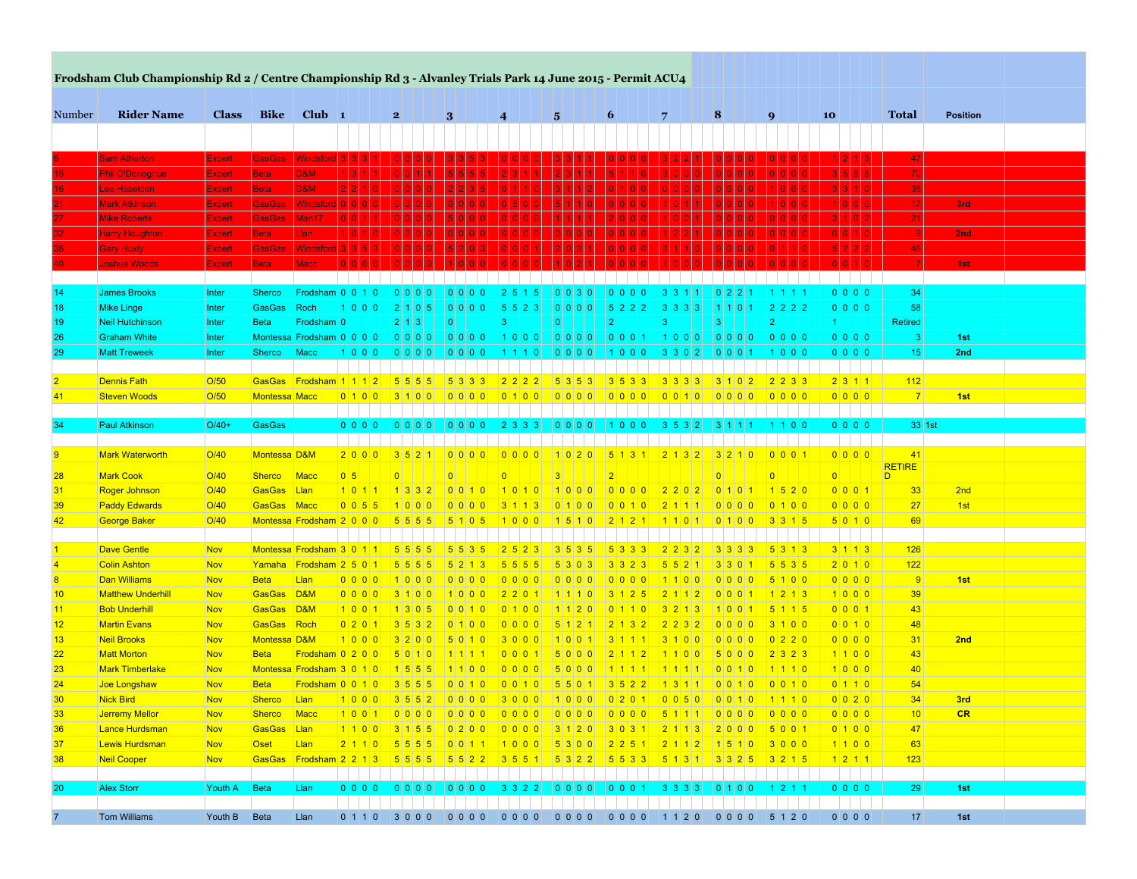| <b>Rider Name</b><br><b>Bike</b><br>Club $\vert$ 1<br>Number<br><b>Class</b><br>6<br>8<br><b>Total</b><br>$\mathbf{2}$<br>3<br>9<br>10<br><b>Position</b><br>$\boldsymbol{4}$<br>$\sqrt{5}$<br>7<br> 47 <br>GasGas Windsford 3 3 3<br><b>Sam Atherton</b><br><b>Expert</b><br>70<br>D&M<br><b>Beta</b><br><b>Phil O'Donoghue</b><br><b>Expert</b><br><b>D&amp;M</b><br><b>Beta</b><br>35<br>16.<br>Lee Haselden<br><b>Expert</b><br>Windsfor<br>17<br><b>GasGas</b><br><u>Mark Atkinson</u><br>Expert<br>3rd<br>21<br><b>GasGas</b><br>Man <sub>17</sub><br>Mike Roberts<br>Expert<br><b>Beta</b><br>Llan<br>2nd<br><b>Harry Houghton</b><br><b>Expert</b><br>46<br><b>GasGas</b><br>Windsford<br><b>Gary Huxly</b><br><b>Expert</b><br><b>Joshua Woods</b><br><b>Beta</b><br><b>Macc</b><br>1st<br><b>Expert</b><br>0 0 0 0<br>34<br><b>James Brooks</b><br>Sherco<br> Frodsham 0 0 1 0 <br>Inter<br>0 0 0 0<br>2 5 1 5<br>$0 0 0 0 $<br>3 3 1 <br>0 2 2<br>1 1 1 1 1<br>0 0 0 0 <br>58<br><b>GasGas</b><br>Roch<br> 2 2 2 2<br><b>Mike Linge</b><br>Inter<br>1 0 0 0 <br>2 1 0 5<br> 3 3 3 3<br>5 5 2 3<br>5 2 2 2<br>1110<br>2 1 3<br>$\vert$ 2 $\vert$<br>Frodsham <sup>1</sup> 0<br> 2 <br> 3 <br> 3 <br><b>Retired</b><br><b>Neil Hutchinson</b><br><b>Beta</b><br>$\vert 0 \vert$<br>$\vert 3 \vert$<br>$\overline{0}$<br>Inter<br>11<br> 0 0 0 0<br>Montessa Frodsham 0 0 0 0 0<br> 0 0 0 0 <br> 0 0 0 0 <br> 1 0 0 0 <br> 0 0 0 0 <br> 1 0 0 0 <br> 0 0 0 0 <br>0 0 0 0 <br> 3 <br>1st<br><b>Graham White</b><br>Inter<br>0 0 0 0 <br>15<br><b>Matt Treweek</b><br>Inter<br>Sherco<br>Macc<br>1 0 0 0 <br> 0 0 0 0 <br> 1 1 1 0 <br> 0 0 0 0 <br> 3 3 0 2 <br> 0 0 0 1 <br> 1 0 0 0<br>2nd<br> 1 0 0 0 <br><b>Dennis Fath</b><br>O/50<br>GasGas Frodsham 1 1 1 2<br>$2 \mid 2 \mid 3 \mid 3$<br>2 3 1 1<br>112<br>5 5 5 5<br>5 3 3 3<br>2 2 2 2<br>5 3 5 3<br>3 5 3 3<br>3 3 3 3<br>3 1 0 2<br><b>Steven Woods</b><br><b>Montessa Macc</b><br> 0 0 0 0 <br>0000<br> 7 <br>1st<br>O/50<br>0 1 0 0 <br> 3 1 0 0 <br> 0 0 0 0 <br> 0 1 0 0 <br> 0 0 1 0 <br>GasGas<br>Paul Atkinson<br>$O/40+$<br>0 0 0 0 <br>33 1st<br>34<br>$0 0 0 0 $<br> 0 0 0 0 <br> 0 0 0 0 <br> 2 3 3 3 <br>1 0 0 0 <br> 3 5 3 2 <br> 3 1 1 1 <br> 1 1 0 0<br>41<br>$\overline{9}$<br><b>Mark Waterworth</b><br>O/40<br>Montessa D&M<br>2000<br>3521<br>0000<br>0 0 0 0 <br>0000<br> 1 0 2 0 <br> 5 1 3 1<br>3 2 1 0<br>0 0 0 1<br>2 1 3 2 <br>RETIRE <sup></sup><br><b>Mark Cook</b><br>0 5 <br>$\overline{0}$<br>O/40<br>Macc<br>$\overline{0}$<br> 0 <br>3<br>$\overline{0}$<br>28<br><b>Sherco</b><br>$\overline{2}$<br>$\overline{0}$<br>$\Omega$<br><b>Roger Johnson</b><br>O/40<br>GasGas Llan<br>1520<br>0 0 0 1<br>2nd<br>1 0 1 1 <br> 1 3 3 2 <br>0010<br>1000<br>0000<br> 2 2 0 2 <br>0101<br> 33 <br>31<br>110110<br>O/40<br>0 0 0 0 <br>27<br><b>Paddy Edwards</b><br>GasGas Macc<br>$0 \ 0 \ 5 \ 5$<br>0100<br>1st<br>1000<br>$0000$<br>0100<br>0 0 1 0<br>2 1 1 1<br>$3 \mid 1 \mid 1 \mid 3$<br><b>George Baker</b><br>O/40<br>Montessa Frodsham 2 0 0 0 0<br>5 5 5 5<br>3315<br>5 0 1 0<br>69<br>42<br>5105<br>1 0 0 0 <br>11510<br>2 1 2 1<br>0 1 0 0<br>1 1 0 1 <br><b>Dave Gentle</b><br>3 1 1 3<br><b>Nov</b><br>Montessa Frodsham 3 0 1 1<br>5 5 5 5<br>5 5 3 5<br>2 5 2 3<br>3 5 3 5 <br>5 3 3 3<br>2 2 3 2<br>3 3 3 3<br>5 3 1 3<br>126<br><b>Colin Ashton</b><br>$5 \ 5 \ 3 \ 5$<br>2 0 1 0<br> 122 <br><b>Nov</b><br>Yamaha Frodsham 2501<br>5 5 5 5<br>5 2 1 3<br>5 5 5 5<br>5 3 0 3 <br>3 3 2 3<br>5 5 2 1<br>3 3 0 1<br>Llan<br>0000<br> 9 <br>1st<br><b>Dan Williams</b><br><b>Nov</b><br><b>Beta</b><br>0000<br>1000<br>0 0 0 0<br>0 0 0 0 <br>0000<br>1100<br>0 0 0 0<br>5100<br>8<br><b>Matthew Underhill</b><br>GasGas D&M<br>1000<br>39<br><b>Nov</b><br>3100<br> 1 0 0 0 <br>2 2 0 1<br>1110<br>3 1 2 5<br>2   1   1   2  <br>0 0 0 1<br>1213<br>GasGas D&M<br>0 0 0 1 <br>43<br><b>Bob Underhill</b><br><b>Nov</b><br>1 0 0 1<br>1305<br>0 0 1 0 <br>5 1 1 5<br>0 1 0 0<br>1120<br>0 1 1 0<br>3 2 1 3<br>1 0 0 1<br>0 0 1 0 <br>48<br><b>Martin Evans</b><br><b>Nov</b><br>GasGas Roch<br>0 2 0 1<br>3 5 3 2<br>0100<br>$2$ 2 3 2<br>0 0 0 0<br>3 1 0 0<br>$5 \mid 1 \mid 2 \mid 1 \mid$<br>2 1 3 2<br>Montessa D&M<br>0000<br>2nd<br><b>Neil Brooks</b><br><b>Nov</b><br>1000<br>$3200$<br>5 0 1 0<br>3000<br>10011<br>$3100$<br>0 0 0 0<br>0 2 2 0<br>31<br>3 1 1 1<br>1100<br><b>Matt Morton</b><br><b>Nov</b><br><b>Beta</b><br> Frodsham 0 2 0 0 <br> 5 0 1 0 <br> 1 1 1 1 <br>5000<br> 2 1 1 2 <br>11100<br>$5000$<br>$2323$<br>43<br>1 0 0 0 <br><b>Mark Timberlake</b><br>Montessa Frodsham 3 0 1 0<br>5000<br>40<br>Nov<br>1 5 5 5<br>1100<br>0 0 1 0<br>1 1 1 0<br>11111<br>11111<br>0 1 1 0 <br>54<br>Joe Longshaw<br><b>Nov</b><br><b>Beta</b><br>Frodsham 0 0 1 0<br>3 5 5 5<br>0 0 1 0 <br>0 0 1 0<br>5 5 0 1 <br>3 5 2 2<br>1 3 1 1<br>0 0 1 0<br>0 0 1 0<br><b>Nick Bird</b><br>Llan<br>0 0 2 0 <br>3rd<br><b>Nov</b><br><b>Sherco</b><br>1000<br> 3 5 5 2 <br> 0 0 0 0 <br> 3 0 0 0 <br> 1 0 0 0 <br> 0 2 0 1 <br> 0 0 5 0 <br> 0 0 1 0<br>11110<br>34<br><b>Sherco</b><br> 10 <br>CR<br><b>Jerremy Mellor</b><br>Nov<br>Macc<br>$0$ 1 0 0<br>Lance Hurdsman<br>GasGas Llan<br>1 1 0 0 3 1 5 5 0 2 0 0 0 0 0 0 0 3 1 2 0 3 0 3 1 2 1 1 3 2 0 0 0 5 0 0 1<br>47<br>Nov<br>2110 5556 0011 1000 5300 2251 2112 1510 3000<br>Oset<br>Llan<br>1100<br>Lewis Hurdsman<br>Nov<br>63<br>1 2 1 1 <br> 123 <br>Neil Cooper<br>Nov<br><b>GasGas</b><br>Beta<br>$ 0 0 0 0 $ $ 0 0 0 0 $<br>$ 0 0 0 0   3 3 2 2   0 0 0 0   0 0 0 1 $<br>0 0 0 0 <br>29<br>20<br><b>Alex Storr</b><br>Youth A<br>Llan<br> 3 3 3 3 <br> 1 2 1 1 <br>1st<br>Youth B |                 | Frodsham Club Championship Rd 2 / Centre Championship Rd 3 - Alvanley Trials Park 14 June 2015 - Permit ACU4 |             |      |  |  |  |  |  |         |    |     |
|-------------------------------------------------------------------------------------------------------------------------------------------------------------------------------------------------------------------------------------------------------------------------------------------------------------------------------------------------------------------------------------------------------------------------------------------------------------------------------------------------------------------------------------------------------------------------------------------------------------------------------------------------------------------------------------------------------------------------------------------------------------------------------------------------------------------------------------------------------------------------------------------------------------------------------------------------------------------------------------------------------------------------------------------------------------------------------------------------------------------------------------------------------------------------------------------------------------------------------------------------------------------------------------------------------------------------------------------------------------------------------------------------------------------------------------------------------------------------------------------------------------------------------------------------------------------------------------------------------------------------------------------------------------------------------------------------------------------------------------------------------------------------------------------------------------------------------------------------------------------------------------------------------------------------------------------------------------------------------------------------------------------------------------------------------------------------------------------------------------------------------------------------------------------------------------------------------------------------------------------------------------------------------------------------------------------------------------------------------------------------------------------------------------------------------------------------------------------------------------------------------------------------------------------------------------------------------------------------------------------------------------------------------------------------------------------------------------------------------------------------------------------------------------------------------------------------------------------------------------------------------------------------------------------------------------------------------------------------------------------------------------------------------------------------------------------------------------------------------------------------------------------------------------------------------------------------------------------------------------------------------------------------------------------------------------------------------------------------------------------------------------------------------------------------------------------------------------------------------------------------------------------------------------------------------------------------------------------------------------------------------------------------------------------------------------------------------------------------------------------------------------------------------------------------------------------------------------------------------------------------------------------------------------------------------------------------------------------------------------------------------------------------------------------------------------------------------------------------------------------------------------------------------------------------------------------------------------------------------------------------------------------------------------------------------------------------------------------------------------------------------------------------------------------------------------------------------------------------------------------------------------------------------------------------------------------------------------------------------------------------------------------------------------------------------------------------------------------------------------------------------------------------------------------------------------------------------------------------------------------------------------------------------------------------------------------------------------------------------------------------------------------------------------------------------------------------------------------------------------------------------------------------------------------------------------------------------------------------------------------------------------------------------------------------------------------------------------------------------------------------------------------------------------------------------------------------------------------------------------------------------------------------------------------------------------------------------------------------------------------------------------------------------------------------|-----------------|--------------------------------------------------------------------------------------------------------------|-------------|------|--|--|--|--|--|---------|----|-----|
|                                                                                                                                                                                                                                                                                                                                                                                                                                                                                                                                                                                                                                                                                                                                                                                                                                                                                                                                                                                                                                                                                                                                                                                                                                                                                                                                                                                                                                                                                                                                                                                                                                                                                                                                                                                                                                                                                                                                                                                                                                                                                                                                                                                                                                                                                                                                                                                                                                                                                                                                                                                                                                                                                                                                                                                                                                                                                                                                                                                                                                                                                                                                                                                                                                                                                                                                                                                                                                                                                                                                                                                                                                                                                                                                                                                                                                                                                                                                                                                                                                                                                                                                                                                                                                                                                                                                                                                                                                                                                                                                                                                                                                                                                                                                                                                                                                                                                                                                                                                                                                                                                                                                                                                                                                                                                                                                                                                                                                                                                                                                                                                                                                                                         |                 |                                                                                                              |             |      |  |  |  |  |  |         |    |     |
|                                                                                                                                                                                                                                                                                                                                                                                                                                                                                                                                                                                                                                                                                                                                                                                                                                                                                                                                                                                                                                                                                                                                                                                                                                                                                                                                                                                                                                                                                                                                                                                                                                                                                                                                                                                                                                                                                                                                                                                                                                                                                                                                                                                                                                                                                                                                                                                                                                                                                                                                                                                                                                                                                                                                                                                                                                                                                                                                                                                                                                                                                                                                                                                                                                                                                                                                                                                                                                                                                                                                                                                                                                                                                                                                                                                                                                                                                                                                                                                                                                                                                                                                                                                                                                                                                                                                                                                                                                                                                                                                                                                                                                                                                                                                                                                                                                                                                                                                                                                                                                                                                                                                                                                                                                                                                                                                                                                                                                                                                                                                                                                                                                                                         |                 |                                                                                                              |             |      |  |  |  |  |  |         |    |     |
|                                                                                                                                                                                                                                                                                                                                                                                                                                                                                                                                                                                                                                                                                                                                                                                                                                                                                                                                                                                                                                                                                                                                                                                                                                                                                                                                                                                                                                                                                                                                                                                                                                                                                                                                                                                                                                                                                                                                                                                                                                                                                                                                                                                                                                                                                                                                                                                                                                                                                                                                                                                                                                                                                                                                                                                                                                                                                                                                                                                                                                                                                                                                                                                                                                                                                                                                                                                                                                                                                                                                                                                                                                                                                                                                                                                                                                                                                                                                                                                                                                                                                                                                                                                                                                                                                                                                                                                                                                                                                                                                                                                                                                                                                                                                                                                                                                                                                                                                                                                                                                                                                                                                                                                                                                                                                                                                                                                                                                                                                                                                                                                                                                                                         |                 |                                                                                                              |             |      |  |  |  |  |  |         |    |     |
|                                                                                                                                                                                                                                                                                                                                                                                                                                                                                                                                                                                                                                                                                                                                                                                                                                                                                                                                                                                                                                                                                                                                                                                                                                                                                                                                                                                                                                                                                                                                                                                                                                                                                                                                                                                                                                                                                                                                                                                                                                                                                                                                                                                                                                                                                                                                                                                                                                                                                                                                                                                                                                                                                                                                                                                                                                                                                                                                                                                                                                                                                                                                                                                                                                                                                                                                                                                                                                                                                                                                                                                                                                                                                                                                                                                                                                                                                                                                                                                                                                                                                                                                                                                                                                                                                                                                                                                                                                                                                                                                                                                                                                                                                                                                                                                                                                                                                                                                                                                                                                                                                                                                                                                                                                                                                                                                                                                                                                                                                                                                                                                                                                                                         |                 |                                                                                                              |             |      |  |  |  |  |  |         |    |     |
|                                                                                                                                                                                                                                                                                                                                                                                                                                                                                                                                                                                                                                                                                                                                                                                                                                                                                                                                                                                                                                                                                                                                                                                                                                                                                                                                                                                                                                                                                                                                                                                                                                                                                                                                                                                                                                                                                                                                                                                                                                                                                                                                                                                                                                                                                                                                                                                                                                                                                                                                                                                                                                                                                                                                                                                                                                                                                                                                                                                                                                                                                                                                                                                                                                                                                                                                                                                                                                                                                                                                                                                                                                                                                                                                                                                                                                                                                                                                                                                                                                                                                                                                                                                                                                                                                                                                                                                                                                                                                                                                                                                                                                                                                                                                                                                                                                                                                                                                                                                                                                                                                                                                                                                                                                                                                                                                                                                                                                                                                                                                                                                                                                                                         | 15.             |                                                                                                              |             |      |  |  |  |  |  |         |    |     |
|                                                                                                                                                                                                                                                                                                                                                                                                                                                                                                                                                                                                                                                                                                                                                                                                                                                                                                                                                                                                                                                                                                                                                                                                                                                                                                                                                                                                                                                                                                                                                                                                                                                                                                                                                                                                                                                                                                                                                                                                                                                                                                                                                                                                                                                                                                                                                                                                                                                                                                                                                                                                                                                                                                                                                                                                                                                                                                                                                                                                                                                                                                                                                                                                                                                                                                                                                                                                                                                                                                                                                                                                                                                                                                                                                                                                                                                                                                                                                                                                                                                                                                                                                                                                                                                                                                                                                                                                                                                                                                                                                                                                                                                                                                                                                                                                                                                                                                                                                                                                                                                                                                                                                                                                                                                                                                                                                                                                                                                                                                                                                                                                                                                                         |                 |                                                                                                              |             |      |  |  |  |  |  |         |    |     |
|                                                                                                                                                                                                                                                                                                                                                                                                                                                                                                                                                                                                                                                                                                                                                                                                                                                                                                                                                                                                                                                                                                                                                                                                                                                                                                                                                                                                                                                                                                                                                                                                                                                                                                                                                                                                                                                                                                                                                                                                                                                                                                                                                                                                                                                                                                                                                                                                                                                                                                                                                                                                                                                                                                                                                                                                                                                                                                                                                                                                                                                                                                                                                                                                                                                                                                                                                                                                                                                                                                                                                                                                                                                                                                                                                                                                                                                                                                                                                                                                                                                                                                                                                                                                                                                                                                                                                                                                                                                                                                                                                                                                                                                                                                                                                                                                                                                                                                                                                                                                                                                                                                                                                                                                                                                                                                                                                                                                                                                                                                                                                                                                                                                                         |                 |                                                                                                              |             |      |  |  |  |  |  |         |    |     |
|                                                                                                                                                                                                                                                                                                                                                                                                                                                                                                                                                                                                                                                                                                                                                                                                                                                                                                                                                                                                                                                                                                                                                                                                                                                                                                                                                                                                                                                                                                                                                                                                                                                                                                                                                                                                                                                                                                                                                                                                                                                                                                                                                                                                                                                                                                                                                                                                                                                                                                                                                                                                                                                                                                                                                                                                                                                                                                                                                                                                                                                                                                                                                                                                                                                                                                                                                                                                                                                                                                                                                                                                                                                                                                                                                                                                                                                                                                                                                                                                                                                                                                                                                                                                                                                                                                                                                                                                                                                                                                                                                                                                                                                                                                                                                                                                                                                                                                                                                                                                                                                                                                                                                                                                                                                                                                                                                                                                                                                                                                                                                                                                                                                                         |                 |                                                                                                              |             |      |  |  |  |  |  |         |    |     |
|                                                                                                                                                                                                                                                                                                                                                                                                                                                                                                                                                                                                                                                                                                                                                                                                                                                                                                                                                                                                                                                                                                                                                                                                                                                                                                                                                                                                                                                                                                                                                                                                                                                                                                                                                                                                                                                                                                                                                                                                                                                                                                                                                                                                                                                                                                                                                                                                                                                                                                                                                                                                                                                                                                                                                                                                                                                                                                                                                                                                                                                                                                                                                                                                                                                                                                                                                                                                                                                                                                                                                                                                                                                                                                                                                                                                                                                                                                                                                                                                                                                                                                                                                                                                                                                                                                                                                                                                                                                                                                                                                                                                                                                                                                                                                                                                                                                                                                                                                                                                                                                                                                                                                                                                                                                                                                                                                                                                                                                                                                                                                                                                                                                                         |                 |                                                                                                              |             |      |  |  |  |  |  |         |    |     |
|                                                                                                                                                                                                                                                                                                                                                                                                                                                                                                                                                                                                                                                                                                                                                                                                                                                                                                                                                                                                                                                                                                                                                                                                                                                                                                                                                                                                                                                                                                                                                                                                                                                                                                                                                                                                                                                                                                                                                                                                                                                                                                                                                                                                                                                                                                                                                                                                                                                                                                                                                                                                                                                                                                                                                                                                                                                                                                                                                                                                                                                                                                                                                                                                                                                                                                                                                                                                                                                                                                                                                                                                                                                                                                                                                                                                                                                                                                                                                                                                                                                                                                                                                                                                                                                                                                                                                                                                                                                                                                                                                                                                                                                                                                                                                                                                                                                                                                                                                                                                                                                                                                                                                                                                                                                                                                                                                                                                                                                                                                                                                                                                                                                                         |                 |                                                                                                              |             |      |  |  |  |  |  |         |    |     |
|                                                                                                                                                                                                                                                                                                                                                                                                                                                                                                                                                                                                                                                                                                                                                                                                                                                                                                                                                                                                                                                                                                                                                                                                                                                                                                                                                                                                                                                                                                                                                                                                                                                                                                                                                                                                                                                                                                                                                                                                                                                                                                                                                                                                                                                                                                                                                                                                                                                                                                                                                                                                                                                                                                                                                                                                                                                                                                                                                                                                                                                                                                                                                                                                                                                                                                                                                                                                                                                                                                                                                                                                                                                                                                                                                                                                                                                                                                                                                                                                                                                                                                                                                                                                                                                                                                                                                                                                                                                                                                                                                                                                                                                                                                                                                                                                                                                                                                                                                                                                                                                                                                                                                                                                                                                                                                                                                                                                                                                                                                                                                                                                                                                                         |                 |                                                                                                              |             |      |  |  |  |  |  |         |    |     |
|                                                                                                                                                                                                                                                                                                                                                                                                                                                                                                                                                                                                                                                                                                                                                                                                                                                                                                                                                                                                                                                                                                                                                                                                                                                                                                                                                                                                                                                                                                                                                                                                                                                                                                                                                                                                                                                                                                                                                                                                                                                                                                                                                                                                                                                                                                                                                                                                                                                                                                                                                                                                                                                                                                                                                                                                                                                                                                                                                                                                                                                                                                                                                                                                                                                                                                                                                                                                                                                                                                                                                                                                                                                                                                                                                                                                                                                                                                                                                                                                                                                                                                                                                                                                                                                                                                                                                                                                                                                                                                                                                                                                                                                                                                                                                                                                                                                                                                                                                                                                                                                                                                                                                                                                                                                                                                                                                                                                                                                                                                                                                                                                                                                                         | 14              |                                                                                                              |             |      |  |  |  |  |  |         |    |     |
|                                                                                                                                                                                                                                                                                                                                                                                                                                                                                                                                                                                                                                                                                                                                                                                                                                                                                                                                                                                                                                                                                                                                                                                                                                                                                                                                                                                                                                                                                                                                                                                                                                                                                                                                                                                                                                                                                                                                                                                                                                                                                                                                                                                                                                                                                                                                                                                                                                                                                                                                                                                                                                                                                                                                                                                                                                                                                                                                                                                                                                                                                                                                                                                                                                                                                                                                                                                                                                                                                                                                                                                                                                                                                                                                                                                                                                                                                                                                                                                                                                                                                                                                                                                                                                                                                                                                                                                                                                                                                                                                                                                                                                                                                                                                                                                                                                                                                                                                                                                                                                                                                                                                                                                                                                                                                                                                                                                                                                                                                                                                                                                                                                                                         | 18              |                                                                                                              |             |      |  |  |  |  |  |         |    |     |
|                                                                                                                                                                                                                                                                                                                                                                                                                                                                                                                                                                                                                                                                                                                                                                                                                                                                                                                                                                                                                                                                                                                                                                                                                                                                                                                                                                                                                                                                                                                                                                                                                                                                                                                                                                                                                                                                                                                                                                                                                                                                                                                                                                                                                                                                                                                                                                                                                                                                                                                                                                                                                                                                                                                                                                                                                                                                                                                                                                                                                                                                                                                                                                                                                                                                                                                                                                                                                                                                                                                                                                                                                                                                                                                                                                                                                                                                                                                                                                                                                                                                                                                                                                                                                                                                                                                                                                                                                                                                                                                                                                                                                                                                                                                                                                                                                                                                                                                                                                                                                                                                                                                                                                                                                                                                                                                                                                                                                                                                                                                                                                                                                                                                         | 19              |                                                                                                              |             |      |  |  |  |  |  |         |    |     |
|                                                                                                                                                                                                                                                                                                                                                                                                                                                                                                                                                                                                                                                                                                                                                                                                                                                                                                                                                                                                                                                                                                                                                                                                                                                                                                                                                                                                                                                                                                                                                                                                                                                                                                                                                                                                                                                                                                                                                                                                                                                                                                                                                                                                                                                                                                                                                                                                                                                                                                                                                                                                                                                                                                                                                                                                                                                                                                                                                                                                                                                                                                                                                                                                                                                                                                                                                                                                                                                                                                                                                                                                                                                                                                                                                                                                                                                                                                                                                                                                                                                                                                                                                                                                                                                                                                                                                                                                                                                                                                                                                                                                                                                                                                                                                                                                                                                                                                                                                                                                                                                                                                                                                                                                                                                                                                                                                                                                                                                                                                                                                                                                                                                                         | 26              |                                                                                                              |             |      |  |  |  |  |  |         |    |     |
|                                                                                                                                                                                                                                                                                                                                                                                                                                                                                                                                                                                                                                                                                                                                                                                                                                                                                                                                                                                                                                                                                                                                                                                                                                                                                                                                                                                                                                                                                                                                                                                                                                                                                                                                                                                                                                                                                                                                                                                                                                                                                                                                                                                                                                                                                                                                                                                                                                                                                                                                                                                                                                                                                                                                                                                                                                                                                                                                                                                                                                                                                                                                                                                                                                                                                                                                                                                                                                                                                                                                                                                                                                                                                                                                                                                                                                                                                                                                                                                                                                                                                                                                                                                                                                                                                                                                                                                                                                                                                                                                                                                                                                                                                                                                                                                                                                                                                                                                                                                                                                                                                                                                                                                                                                                                                                                                                                                                                                                                                                                                                                                                                                                                         | 29              |                                                                                                              |             |      |  |  |  |  |  |         |    |     |
|                                                                                                                                                                                                                                                                                                                                                                                                                                                                                                                                                                                                                                                                                                                                                                                                                                                                                                                                                                                                                                                                                                                                                                                                                                                                                                                                                                                                                                                                                                                                                                                                                                                                                                                                                                                                                                                                                                                                                                                                                                                                                                                                                                                                                                                                                                                                                                                                                                                                                                                                                                                                                                                                                                                                                                                                                                                                                                                                                                                                                                                                                                                                                                                                                                                                                                                                                                                                                                                                                                                                                                                                                                                                                                                                                                                                                                                                                                                                                                                                                                                                                                                                                                                                                                                                                                                                                                                                                                                                                                                                                                                                                                                                                                                                                                                                                                                                                                                                                                                                                                                                                                                                                                                                                                                                                                                                                                                                                                                                                                                                                                                                                                                                         |                 |                                                                                                              |             |      |  |  |  |  |  |         |    |     |
|                                                                                                                                                                                                                                                                                                                                                                                                                                                                                                                                                                                                                                                                                                                                                                                                                                                                                                                                                                                                                                                                                                                                                                                                                                                                                                                                                                                                                                                                                                                                                                                                                                                                                                                                                                                                                                                                                                                                                                                                                                                                                                                                                                                                                                                                                                                                                                                                                                                                                                                                                                                                                                                                                                                                                                                                                                                                                                                                                                                                                                                                                                                                                                                                                                                                                                                                                                                                                                                                                                                                                                                                                                                                                                                                                                                                                                                                                                                                                                                                                                                                                                                                                                                                                                                                                                                                                                                                                                                                                                                                                                                                                                                                                                                                                                                                                                                                                                                                                                                                                                                                                                                                                                                                                                                                                                                                                                                                                                                                                                                                                                                                                                                                         | 2 <sup>1</sup>  |                                                                                                              |             |      |  |  |  |  |  |         |    |     |
|                                                                                                                                                                                                                                                                                                                                                                                                                                                                                                                                                                                                                                                                                                                                                                                                                                                                                                                                                                                                                                                                                                                                                                                                                                                                                                                                                                                                                                                                                                                                                                                                                                                                                                                                                                                                                                                                                                                                                                                                                                                                                                                                                                                                                                                                                                                                                                                                                                                                                                                                                                                                                                                                                                                                                                                                                                                                                                                                                                                                                                                                                                                                                                                                                                                                                                                                                                                                                                                                                                                                                                                                                                                                                                                                                                                                                                                                                                                                                                                                                                                                                                                                                                                                                                                                                                                                                                                                                                                                                                                                                                                                                                                                                                                                                                                                                                                                                                                                                                                                                                                                                                                                                                                                                                                                                                                                                                                                                                                                                                                                                                                                                                                                         | 41              |                                                                                                              |             |      |  |  |  |  |  |         |    |     |
|                                                                                                                                                                                                                                                                                                                                                                                                                                                                                                                                                                                                                                                                                                                                                                                                                                                                                                                                                                                                                                                                                                                                                                                                                                                                                                                                                                                                                                                                                                                                                                                                                                                                                                                                                                                                                                                                                                                                                                                                                                                                                                                                                                                                                                                                                                                                                                                                                                                                                                                                                                                                                                                                                                                                                                                                                                                                                                                                                                                                                                                                                                                                                                                                                                                                                                                                                                                                                                                                                                                                                                                                                                                                                                                                                                                                                                                                                                                                                                                                                                                                                                                                                                                                                                                                                                                                                                                                                                                                                                                                                                                                                                                                                                                                                                                                                                                                                                                                                                                                                                                                                                                                                                                                                                                                                                                                                                                                                                                                                                                                                                                                                                                                         |                 |                                                                                                              |             |      |  |  |  |  |  |         |    |     |
|                                                                                                                                                                                                                                                                                                                                                                                                                                                                                                                                                                                                                                                                                                                                                                                                                                                                                                                                                                                                                                                                                                                                                                                                                                                                                                                                                                                                                                                                                                                                                                                                                                                                                                                                                                                                                                                                                                                                                                                                                                                                                                                                                                                                                                                                                                                                                                                                                                                                                                                                                                                                                                                                                                                                                                                                                                                                                                                                                                                                                                                                                                                                                                                                                                                                                                                                                                                                                                                                                                                                                                                                                                                                                                                                                                                                                                                                                                                                                                                                                                                                                                                                                                                                                                                                                                                                                                                                                                                                                                                                                                                                                                                                                                                                                                                                                                                                                                                                                                                                                                                                                                                                                                                                                                                                                                                                                                                                                                                                                                                                                                                                                                                                         |                 |                                                                                                              |             |      |  |  |  |  |  |         |    |     |
|                                                                                                                                                                                                                                                                                                                                                                                                                                                                                                                                                                                                                                                                                                                                                                                                                                                                                                                                                                                                                                                                                                                                                                                                                                                                                                                                                                                                                                                                                                                                                                                                                                                                                                                                                                                                                                                                                                                                                                                                                                                                                                                                                                                                                                                                                                                                                                                                                                                                                                                                                                                                                                                                                                                                                                                                                                                                                                                                                                                                                                                                                                                                                                                                                                                                                                                                                                                                                                                                                                                                                                                                                                                                                                                                                                                                                                                                                                                                                                                                                                                                                                                                                                                                                                                                                                                                                                                                                                                                                                                                                                                                                                                                                                                                                                                                                                                                                                                                                                                                                                                                                                                                                                                                                                                                                                                                                                                                                                                                                                                                                                                                                                                                         |                 |                                                                                                              |             |      |  |  |  |  |  |         |    |     |
|                                                                                                                                                                                                                                                                                                                                                                                                                                                                                                                                                                                                                                                                                                                                                                                                                                                                                                                                                                                                                                                                                                                                                                                                                                                                                                                                                                                                                                                                                                                                                                                                                                                                                                                                                                                                                                                                                                                                                                                                                                                                                                                                                                                                                                                                                                                                                                                                                                                                                                                                                                                                                                                                                                                                                                                                                                                                                                                                                                                                                                                                                                                                                                                                                                                                                                                                                                                                                                                                                                                                                                                                                                                                                                                                                                                                                                                                                                                                                                                                                                                                                                                                                                                                                                                                                                                                                                                                                                                                                                                                                                                                                                                                                                                                                                                                                                                                                                                                                                                                                                                                                                                                                                                                                                                                                                                                                                                                                                                                                                                                                                                                                                                                         |                 |                                                                                                              |             |      |  |  |  |  |  |         |    |     |
|                                                                                                                                                                                                                                                                                                                                                                                                                                                                                                                                                                                                                                                                                                                                                                                                                                                                                                                                                                                                                                                                                                                                                                                                                                                                                                                                                                                                                                                                                                                                                                                                                                                                                                                                                                                                                                                                                                                                                                                                                                                                                                                                                                                                                                                                                                                                                                                                                                                                                                                                                                                                                                                                                                                                                                                                                                                                                                                                                                                                                                                                                                                                                                                                                                                                                                                                                                                                                                                                                                                                                                                                                                                                                                                                                                                                                                                                                                                                                                                                                                                                                                                                                                                                                                                                                                                                                                                                                                                                                                                                                                                                                                                                                                                                                                                                                                                                                                                                                                                                                                                                                                                                                                                                                                                                                                                                                                                                                                                                                                                                                                                                                                                                         |                 |                                                                                                              |             |      |  |  |  |  |  |         |    |     |
|                                                                                                                                                                                                                                                                                                                                                                                                                                                                                                                                                                                                                                                                                                                                                                                                                                                                                                                                                                                                                                                                                                                                                                                                                                                                                                                                                                                                                                                                                                                                                                                                                                                                                                                                                                                                                                                                                                                                                                                                                                                                                                                                                                                                                                                                                                                                                                                                                                                                                                                                                                                                                                                                                                                                                                                                                                                                                                                                                                                                                                                                                                                                                                                                                                                                                                                                                                                                                                                                                                                                                                                                                                                                                                                                                                                                                                                                                                                                                                                                                                                                                                                                                                                                                                                                                                                                                                                                                                                                                                                                                                                                                                                                                                                                                                                                                                                                                                                                                                                                                                                                                                                                                                                                                                                                                                                                                                                                                                                                                                                                                                                                                                                                         |                 |                                                                                                              |             |      |  |  |  |  |  |         |    |     |
|                                                                                                                                                                                                                                                                                                                                                                                                                                                                                                                                                                                                                                                                                                                                                                                                                                                                                                                                                                                                                                                                                                                                                                                                                                                                                                                                                                                                                                                                                                                                                                                                                                                                                                                                                                                                                                                                                                                                                                                                                                                                                                                                                                                                                                                                                                                                                                                                                                                                                                                                                                                                                                                                                                                                                                                                                                                                                                                                                                                                                                                                                                                                                                                                                                                                                                                                                                                                                                                                                                                                                                                                                                                                                                                                                                                                                                                                                                                                                                                                                                                                                                                                                                                                                                                                                                                                                                                                                                                                                                                                                                                                                                                                                                                                                                                                                                                                                                                                                                                                                                                                                                                                                                                                                                                                                                                                                                                                                                                                                                                                                                                                                                                                         | 39              |                                                                                                              |             |      |  |  |  |  |  |         |    |     |
|                                                                                                                                                                                                                                                                                                                                                                                                                                                                                                                                                                                                                                                                                                                                                                                                                                                                                                                                                                                                                                                                                                                                                                                                                                                                                                                                                                                                                                                                                                                                                                                                                                                                                                                                                                                                                                                                                                                                                                                                                                                                                                                                                                                                                                                                                                                                                                                                                                                                                                                                                                                                                                                                                                                                                                                                                                                                                                                                                                                                                                                                                                                                                                                                                                                                                                                                                                                                                                                                                                                                                                                                                                                                                                                                                                                                                                                                                                                                                                                                                                                                                                                                                                                                                                                                                                                                                                                                                                                                                                                                                                                                                                                                                                                                                                                                                                                                                                                                                                                                                                                                                                                                                                                                                                                                                                                                                                                                                                                                                                                                                                                                                                                                         |                 |                                                                                                              |             |      |  |  |  |  |  |         |    |     |
|                                                                                                                                                                                                                                                                                                                                                                                                                                                                                                                                                                                                                                                                                                                                                                                                                                                                                                                                                                                                                                                                                                                                                                                                                                                                                                                                                                                                                                                                                                                                                                                                                                                                                                                                                                                                                                                                                                                                                                                                                                                                                                                                                                                                                                                                                                                                                                                                                                                                                                                                                                                                                                                                                                                                                                                                                                                                                                                                                                                                                                                                                                                                                                                                                                                                                                                                                                                                                                                                                                                                                                                                                                                                                                                                                                                                                                                                                                                                                                                                                                                                                                                                                                                                                                                                                                                                                                                                                                                                                                                                                                                                                                                                                                                                                                                                                                                                                                                                                                                                                                                                                                                                                                                                                                                                                                                                                                                                                                                                                                                                                                                                                                                                         |                 |                                                                                                              |             |      |  |  |  |  |  |         |    |     |
|                                                                                                                                                                                                                                                                                                                                                                                                                                                                                                                                                                                                                                                                                                                                                                                                                                                                                                                                                                                                                                                                                                                                                                                                                                                                                                                                                                                                                                                                                                                                                                                                                                                                                                                                                                                                                                                                                                                                                                                                                                                                                                                                                                                                                                                                                                                                                                                                                                                                                                                                                                                                                                                                                                                                                                                                                                                                                                                                                                                                                                                                                                                                                                                                                                                                                                                                                                                                                                                                                                                                                                                                                                                                                                                                                                                                                                                                                                                                                                                                                                                                                                                                                                                                                                                                                                                                                                                                                                                                                                                                                                                                                                                                                                                                                                                                                                                                                                                                                                                                                                                                                                                                                                                                                                                                                                                                                                                                                                                                                                                                                                                                                                                                         |                 |                                                                                                              |             |      |  |  |  |  |  |         |    |     |
|                                                                                                                                                                                                                                                                                                                                                                                                                                                                                                                                                                                                                                                                                                                                                                                                                                                                                                                                                                                                                                                                                                                                                                                                                                                                                                                                                                                                                                                                                                                                                                                                                                                                                                                                                                                                                                                                                                                                                                                                                                                                                                                                                                                                                                                                                                                                                                                                                                                                                                                                                                                                                                                                                                                                                                                                                                                                                                                                                                                                                                                                                                                                                                                                                                                                                                                                                                                                                                                                                                                                                                                                                                                                                                                                                                                                                                                                                                                                                                                                                                                                                                                                                                                                                                                                                                                                                                                                                                                                                                                                                                                                                                                                                                                                                                                                                                                                                                                                                                                                                                                                                                                                                                                                                                                                                                                                                                                                                                                                                                                                                                                                                                                                         |                 |                                                                                                              |             |      |  |  |  |  |  |         |    |     |
|                                                                                                                                                                                                                                                                                                                                                                                                                                                                                                                                                                                                                                                                                                                                                                                                                                                                                                                                                                                                                                                                                                                                                                                                                                                                                                                                                                                                                                                                                                                                                                                                                                                                                                                                                                                                                                                                                                                                                                                                                                                                                                                                                                                                                                                                                                                                                                                                                                                                                                                                                                                                                                                                                                                                                                                                                                                                                                                                                                                                                                                                                                                                                                                                                                                                                                                                                                                                                                                                                                                                                                                                                                                                                                                                                                                                                                                                                                                                                                                                                                                                                                                                                                                                                                                                                                                                                                                                                                                                                                                                                                                                                                                                                                                                                                                                                                                                                                                                                                                                                                                                                                                                                                                                                                                                                                                                                                                                                                                                                                                                                                                                                                                                         | 10 <sup>°</sup> |                                                                                                              |             |      |  |  |  |  |  |         |    |     |
|                                                                                                                                                                                                                                                                                                                                                                                                                                                                                                                                                                                                                                                                                                                                                                                                                                                                                                                                                                                                                                                                                                                                                                                                                                                                                                                                                                                                                                                                                                                                                                                                                                                                                                                                                                                                                                                                                                                                                                                                                                                                                                                                                                                                                                                                                                                                                                                                                                                                                                                                                                                                                                                                                                                                                                                                                                                                                                                                                                                                                                                                                                                                                                                                                                                                                                                                                                                                                                                                                                                                                                                                                                                                                                                                                                                                                                                                                                                                                                                                                                                                                                                                                                                                                                                                                                                                                                                                                                                                                                                                                                                                                                                                                                                                                                                                                                                                                                                                                                                                                                                                                                                                                                                                                                                                                                                                                                                                                                                                                                                                                                                                                                                                         | 11              |                                                                                                              |             |      |  |  |  |  |  |         |    |     |
|                                                                                                                                                                                                                                                                                                                                                                                                                                                                                                                                                                                                                                                                                                                                                                                                                                                                                                                                                                                                                                                                                                                                                                                                                                                                                                                                                                                                                                                                                                                                                                                                                                                                                                                                                                                                                                                                                                                                                                                                                                                                                                                                                                                                                                                                                                                                                                                                                                                                                                                                                                                                                                                                                                                                                                                                                                                                                                                                                                                                                                                                                                                                                                                                                                                                                                                                                                                                                                                                                                                                                                                                                                                                                                                                                                                                                                                                                                                                                                                                                                                                                                                                                                                                                                                                                                                                                                                                                                                                                                                                                                                                                                                                                                                                                                                                                                                                                                                                                                                                                                                                                                                                                                                                                                                                                                                                                                                                                                                                                                                                                                                                                                                                         | 12              |                                                                                                              |             |      |  |  |  |  |  |         |    |     |
|                                                                                                                                                                                                                                                                                                                                                                                                                                                                                                                                                                                                                                                                                                                                                                                                                                                                                                                                                                                                                                                                                                                                                                                                                                                                                                                                                                                                                                                                                                                                                                                                                                                                                                                                                                                                                                                                                                                                                                                                                                                                                                                                                                                                                                                                                                                                                                                                                                                                                                                                                                                                                                                                                                                                                                                                                                                                                                                                                                                                                                                                                                                                                                                                                                                                                                                                                                                                                                                                                                                                                                                                                                                                                                                                                                                                                                                                                                                                                                                                                                                                                                                                                                                                                                                                                                                                                                                                                                                                                                                                                                                                                                                                                                                                                                                                                                                                                                                                                                                                                                                                                                                                                                                                                                                                                                                                                                                                                                                                                                                                                                                                                                                                         | 13              |                                                                                                              |             |      |  |  |  |  |  |         |    |     |
|                                                                                                                                                                                                                                                                                                                                                                                                                                                                                                                                                                                                                                                                                                                                                                                                                                                                                                                                                                                                                                                                                                                                                                                                                                                                                                                                                                                                                                                                                                                                                                                                                                                                                                                                                                                                                                                                                                                                                                                                                                                                                                                                                                                                                                                                                                                                                                                                                                                                                                                                                                                                                                                                                                                                                                                                                                                                                                                                                                                                                                                                                                                                                                                                                                                                                                                                                                                                                                                                                                                                                                                                                                                                                                                                                                                                                                                                                                                                                                                                                                                                                                                                                                                                                                                                                                                                                                                                                                                                                                                                                                                                                                                                                                                                                                                                                                                                                                                                                                                                                                                                                                                                                                                                                                                                                                                                                                                                                                                                                                                                                                                                                                                                         | 22              |                                                                                                              |             |      |  |  |  |  |  |         |    |     |
|                                                                                                                                                                                                                                                                                                                                                                                                                                                                                                                                                                                                                                                                                                                                                                                                                                                                                                                                                                                                                                                                                                                                                                                                                                                                                                                                                                                                                                                                                                                                                                                                                                                                                                                                                                                                                                                                                                                                                                                                                                                                                                                                                                                                                                                                                                                                                                                                                                                                                                                                                                                                                                                                                                                                                                                                                                                                                                                                                                                                                                                                                                                                                                                                                                                                                                                                                                                                                                                                                                                                                                                                                                                                                                                                                                                                                                                                                                                                                                                                                                                                                                                                                                                                                                                                                                                                                                                                                                                                                                                                                                                                                                                                                                                                                                                                                                                                                                                                                                                                                                                                                                                                                                                                                                                                                                                                                                                                                                                                                                                                                                                                                                                                         | 23              |                                                                                                              |             |      |  |  |  |  |  |         |    |     |
|                                                                                                                                                                                                                                                                                                                                                                                                                                                                                                                                                                                                                                                                                                                                                                                                                                                                                                                                                                                                                                                                                                                                                                                                                                                                                                                                                                                                                                                                                                                                                                                                                                                                                                                                                                                                                                                                                                                                                                                                                                                                                                                                                                                                                                                                                                                                                                                                                                                                                                                                                                                                                                                                                                                                                                                                                                                                                                                                                                                                                                                                                                                                                                                                                                                                                                                                                                                                                                                                                                                                                                                                                                                                                                                                                                                                                                                                                                                                                                                                                                                                                                                                                                                                                                                                                                                                                                                                                                                                                                                                                                                                                                                                                                                                                                                                                                                                                                                                                                                                                                                                                                                                                                                                                                                                                                                                                                                                                                                                                                                                                                                                                                                                         | 24              |                                                                                                              |             |      |  |  |  |  |  |         |    |     |
|                                                                                                                                                                                                                                                                                                                                                                                                                                                                                                                                                                                                                                                                                                                                                                                                                                                                                                                                                                                                                                                                                                                                                                                                                                                                                                                                                                                                                                                                                                                                                                                                                                                                                                                                                                                                                                                                                                                                                                                                                                                                                                                                                                                                                                                                                                                                                                                                                                                                                                                                                                                                                                                                                                                                                                                                                                                                                                                                                                                                                                                                                                                                                                                                                                                                                                                                                                                                                                                                                                                                                                                                                                                                                                                                                                                                                                                                                                                                                                                                                                                                                                                                                                                                                                                                                                                                                                                                                                                                                                                                                                                                                                                                                                                                                                                                                                                                                                                                                                                                                                                                                                                                                                                                                                                                                                                                                                                                                                                                                                                                                                                                                                                                         | 30 <sub>o</sub> |                                                                                                              |             |      |  |  |  |  |  |         |    |     |
|                                                                                                                                                                                                                                                                                                                                                                                                                                                                                                                                                                                                                                                                                                                                                                                                                                                                                                                                                                                                                                                                                                                                                                                                                                                                                                                                                                                                                                                                                                                                                                                                                                                                                                                                                                                                                                                                                                                                                                                                                                                                                                                                                                                                                                                                                                                                                                                                                                                                                                                                                                                                                                                                                                                                                                                                                                                                                                                                                                                                                                                                                                                                                                                                                                                                                                                                                                                                                                                                                                                                                                                                                                                                                                                                                                                                                                                                                                                                                                                                                                                                                                                                                                                                                                                                                                                                                                                                                                                                                                                                                                                                                                                                                                                                                                                                                                                                                                                                                                                                                                                                                                                                                                                                                                                                                                                                                                                                                                                                                                                                                                                                                                                                         | 33              |                                                                                                              |             |      |  |  |  |  |  |         |    |     |
|                                                                                                                                                                                                                                                                                                                                                                                                                                                                                                                                                                                                                                                                                                                                                                                                                                                                                                                                                                                                                                                                                                                                                                                                                                                                                                                                                                                                                                                                                                                                                                                                                                                                                                                                                                                                                                                                                                                                                                                                                                                                                                                                                                                                                                                                                                                                                                                                                                                                                                                                                                                                                                                                                                                                                                                                                                                                                                                                                                                                                                                                                                                                                                                                                                                                                                                                                                                                                                                                                                                                                                                                                                                                                                                                                                                                                                                                                                                                                                                                                                                                                                                                                                                                                                                                                                                                                                                                                                                                                                                                                                                                                                                                                                                                                                                                                                                                                                                                                                                                                                                                                                                                                                                                                                                                                                                                                                                                                                                                                                                                                                                                                                                                         | 36              |                                                                                                              |             |      |  |  |  |  |  |         |    |     |
|                                                                                                                                                                                                                                                                                                                                                                                                                                                                                                                                                                                                                                                                                                                                                                                                                                                                                                                                                                                                                                                                                                                                                                                                                                                                                                                                                                                                                                                                                                                                                                                                                                                                                                                                                                                                                                                                                                                                                                                                                                                                                                                                                                                                                                                                                                                                                                                                                                                                                                                                                                                                                                                                                                                                                                                                                                                                                                                                                                                                                                                                                                                                                                                                                                                                                                                                                                                                                                                                                                                                                                                                                                                                                                                                                                                                                                                                                                                                                                                                                                                                                                                                                                                                                                                                                                                                                                                                                                                                                                                                                                                                                                                                                                                                                                                                                                                                                                                                                                                                                                                                                                                                                                                                                                                                                                                                                                                                                                                                                                                                                                                                                                                                         | 37              |                                                                                                              |             |      |  |  |  |  |  |         |    |     |
|                                                                                                                                                                                                                                                                                                                                                                                                                                                                                                                                                                                                                                                                                                                                                                                                                                                                                                                                                                                                                                                                                                                                                                                                                                                                                                                                                                                                                                                                                                                                                                                                                                                                                                                                                                                                                                                                                                                                                                                                                                                                                                                                                                                                                                                                                                                                                                                                                                                                                                                                                                                                                                                                                                                                                                                                                                                                                                                                                                                                                                                                                                                                                                                                                                                                                                                                                                                                                                                                                                                                                                                                                                                                                                                                                                                                                                                                                                                                                                                                                                                                                                                                                                                                                                                                                                                                                                                                                                                                                                                                                                                                                                                                                                                                                                                                                                                                                                                                                                                                                                                                                                                                                                                                                                                                                                                                                                                                                                                                                                                                                                                                                                                                         | 38              |                                                                                                              |             |      |  |  |  |  |  |         |    |     |
|                                                                                                                                                                                                                                                                                                                                                                                                                                                                                                                                                                                                                                                                                                                                                                                                                                                                                                                                                                                                                                                                                                                                                                                                                                                                                                                                                                                                                                                                                                                                                                                                                                                                                                                                                                                                                                                                                                                                                                                                                                                                                                                                                                                                                                                                                                                                                                                                                                                                                                                                                                                                                                                                                                                                                                                                                                                                                                                                                                                                                                                                                                                                                                                                                                                                                                                                                                                                                                                                                                                                                                                                                                                                                                                                                                                                                                                                                                                                                                                                                                                                                                                                                                                                                                                                                                                                                                                                                                                                                                                                                                                                                                                                                                                                                                                                                                                                                                                                                                                                                                                                                                                                                                                                                                                                                                                                                                                                                                                                                                                                                                                                                                                                         |                 |                                                                                                              |             |      |  |  |  |  |  |         |    |     |
|                                                                                                                                                                                                                                                                                                                                                                                                                                                                                                                                                                                                                                                                                                                                                                                                                                                                                                                                                                                                                                                                                                                                                                                                                                                                                                                                                                                                                                                                                                                                                                                                                                                                                                                                                                                                                                                                                                                                                                                                                                                                                                                                                                                                                                                                                                                                                                                                                                                                                                                                                                                                                                                                                                                                                                                                                                                                                                                                                                                                                                                                                                                                                                                                                                                                                                                                                                                                                                                                                                                                                                                                                                                                                                                                                                                                                                                                                                                                                                                                                                                                                                                                                                                                                                                                                                                                                                                                                                                                                                                                                                                                                                                                                                                                                                                                                                                                                                                                                                                                                                                                                                                                                                                                                                                                                                                                                                                                                                                                                                                                                                                                                                                                         |                 |                                                                                                              |             |      |  |  |  |  |  |         |    |     |
|                                                                                                                                                                                                                                                                                                                                                                                                                                                                                                                                                                                                                                                                                                                                                                                                                                                                                                                                                                                                                                                                                                                                                                                                                                                                                                                                                                                                                                                                                                                                                                                                                                                                                                                                                                                                                                                                                                                                                                                                                                                                                                                                                                                                                                                                                                                                                                                                                                                                                                                                                                                                                                                                                                                                                                                                                                                                                                                                                                                                                                                                                                                                                                                                                                                                                                                                                                                                                                                                                                                                                                                                                                                                                                                                                                                                                                                                                                                                                                                                                                                                                                                                                                                                                                                                                                                                                                                                                                                                                                                                                                                                                                                                                                                                                                                                                                                                                                                                                                                                                                                                                                                                                                                                                                                                                                                                                                                                                                                                                                                                                                                                                                                                         | $\overline{7}$  | <b>Tom Williams</b>                                                                                          | <b>Beta</b> | Llan |  |  |  |  |  | 0 0 0 0 | 17 | 1st |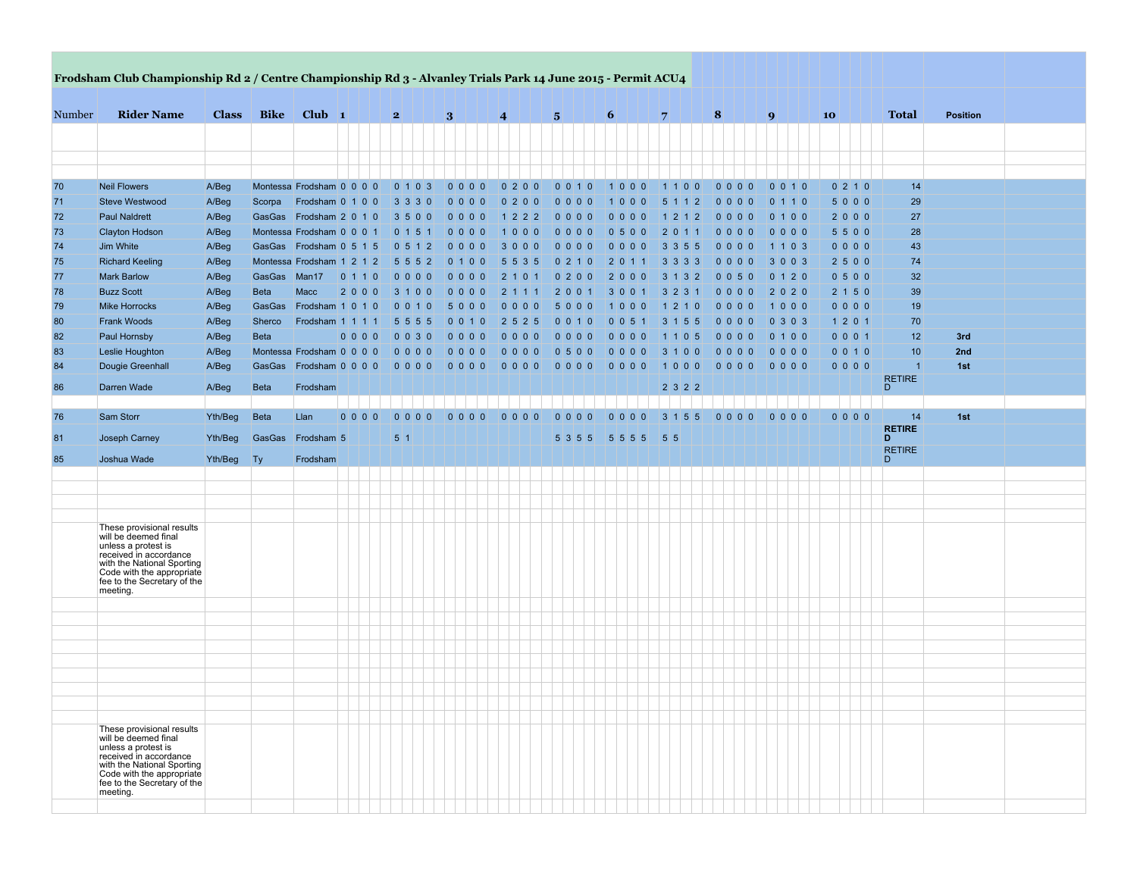|        | Frodsham Club Championship Rd 2 / Centre Championship Rd 3 - Alvanley Trials Park 14 June 2015 - Permit ACU4                                                                                 |              |              |                                   |         |                          |         |                 |                    |         |                                   |                 |               |               |                |                 |  |
|--------|----------------------------------------------------------------------------------------------------------------------------------------------------------------------------------------------|--------------|--------------|-----------------------------------|---------|--------------------------|---------|-----------------|--------------------|---------|-----------------------------------|-----------------|---------------|---------------|----------------|-----------------|--|
| Number | <b>Rider Name</b>                                                                                                                                                                            | <b>Class</b> | <b>Bike</b>  | $Club$ 1                          |         | 2                        | 3       | $\vert 4 \vert$ | $\vert 5 \vert$    | 6       | $\overline{7}$                    | $\vert 8 \vert$ | 9             | 10            | <b>Total</b>   | <b>Position</b> |  |
|        |                                                                                                                                                                                              |              |              |                                   |         |                          |         |                 |                    |         |                                   |                 |               |               |                |                 |  |
|        |                                                                                                                                                                                              |              |              |                                   |         |                          |         |                 |                    |         |                                   |                 |               |               |                |                 |  |
|        |                                                                                                                                                                                              |              |              |                                   |         |                          |         |                 |                    |         |                                   |                 |               |               |                |                 |  |
| 70     | <b>Neil Flowers</b>                                                                                                                                                                          | A/Beg        |              | Montessa Frodsham 0 0 0 0 0       |         | $0 \mid 1 \mid 0 \mid 3$ | 00000   | 0 2 0 0         | 0 0 <br>$1\vert 0$ | 1000    | $\overline{0}$<br>$\Omega$<br>111 | 0000            | 0 0 1 0       | 0 2 1 0       | 14             |                 |  |
| 71     | <b>Steve Westwood</b>                                                                                                                                                                        | A/Beg        | Scorpa       | Frodsham $0 \mid 1 \mid 0 \mid 0$ |         | $3 \mid 3 \mid 3 \mid 0$ | 0 0 0 0 | 0 2 0 0         | 0 0 0 0            | 1000    | 5 1 1 2                           | 0 0 0 0         | 0   1   1   0 | 5000          | 29             |                 |  |
| 72     | <b>Paul Naldrett</b>                                                                                                                                                                         | A/Beg        |              | GasGas Frodsham 2 0 1 0           |         | 3 5 0 0                  | 00000   | 1 2 2 2         | 0 0 0 0            | $0000$  | $1\vert 2$<br>1 2                 | 0 0 0 0         | 0 1 0 0       | 2000          | 27             |                 |  |
| 73     | <b>Clayton Hodson</b>                                                                                                                                                                        | A/Beg        |              | Montessa Frodsham 0 0 0 1         |         | 0 1 5 1                  | 0 0 0 0 | 1 0 0 0         | 0 0 0 0            | 0 5 0 0 | 2 0 <br>111                       | 0 0 0 0         | $0000$        | 5 5 0 0       | 28             |                 |  |
| 74     | Jim White                                                                                                                                                                                    | A/Beg        |              | GasGas Frodsham 0 5 1 5           |         | 0 5 1 2                  | $0000$  | $3000$          | $0000$             | $0000$  | $3 \mid 3 \mid 5 \mid 5$          | 0 0 0 0         | 1 1 0 3       | 0 0 0 0       | 43             |                 |  |
| 75     | <b>Richard Keeling</b>                                                                                                                                                                       | A/Beg        |              | Montessa Frodsham 1212            |         | $5 \ 5 \ 5 \ 2$          | 0 1 0 0 | $5 \ 5 \ 3 \ 5$ | 0 2 1 0            | 2 0 1 1 | $3 \mid 3 \mid 3 \mid 3$          | 0 0 0 0         | $3003$        | 2   5   0   0 | 74             |                 |  |
| 77     | <b>Mark Barlow</b>                                                                                                                                                                           | A/Beg        | GasGas Man17 |                                   | 0 1 1 0 | $0000$                   | $0000$  | 2 1 0 1         | $0200$             | 2000    | $3 \mid 1 \mid 3 \mid 2$          | 0 0 5 0         | 0 1 2 0       | 0 5 0 0       | 32             |                 |  |
| 78     | <b>Buzz Scott</b>                                                                                                                                                                            | A/Beg        | <b>Beta</b>  | <b>Macc</b>                       | 2000    | 3 1 0 0                  | $0000$  | 2 1 1 1         | 2001               | 3 0 0 1 | $3 \ 2 \ 3 \ 1$                   | 0 0 0 0         | 2020          | 2 1 5 0       | 39             |                 |  |
| 79     | <b>Mike Horrocks</b>                                                                                                                                                                         | A/Beg        | GasGas       | Frodsham 1 0 1 0                  |         | 0 0 1 0                  | 5000    | 0 0 0 0         | 5000               | 1000    | 1 2 1 0                           | 0 0 0 0         | 1000          | 0000          | 19             |                 |  |
| 80     | <b>Frank Woods</b>                                                                                                                                                                           | A/Beg        | Sherco       | Frodsham 1 1 1 1                  |         | $5 \ 5 \ 5 \ 5$          | 0 0 1 0 | 2   5   2   5   | 0 0 1 0            | 0 0 5 1 | $3 \mid 1 \mid 5 \mid 5$          | 0 0 0 0         | 0 3 0 3       | 1 2 0 1       | 70             |                 |  |
| 82     | <b>Paul Hornsby</b>                                                                                                                                                                          | A/Beg        | <b>Beta</b>  |                                   | $0000$  | 0 0 3 0                  | 0 0 0 0 | 0 0 0 0         | 00000              | $00000$ | 1 1 0 5                           | 0 0 0 0         | 0 1 0 0       | 0 0 0 1       | 12             | 3rd             |  |
| 83     | Leslie Houghton                                                                                                                                                                              | A/Beg        |              | Montessa Frodsham 0 0 0 0 0       |         | 0 0 0 0                  |         |                 | 0 5 0 0            | $0000$  | 3 1 0 0                           | 0 0 0 0         | $0000$        | 0 0 1 0       | 10             | 2nd             |  |
| 84     | Dougie Greenhall                                                                                                                                                                             | A/Beg        |              | GasGas Frodsham 0 0 0 0           |         |                          | 0 0 0 0 |                 | 0000               | $0000$  | 1000                              |                 | 0 0 0 0       | 0 0 0 0       | $\overline{1}$ | 1st             |  |
| 86     | Darren Wade                                                                                                                                                                                  | A/Beg        | <b>Beta</b>  | Frodsham                          |         |                          |         |                 |                    |         | 2322                              |                 |               |               | RETIRE<br>D    |                 |  |
|        | Sam Storr                                                                                                                                                                                    | Yth/Beg      | Beta         | Llan                              | 0000    | $0000$                   | 0000    | 0000            | 0000               | 0000    | $3 \mid 1 \mid 5 \mid 5$          | 0 0 0 0         | 0000          | 0000          | 14             | 1st             |  |
| 76     |                                                                                                                                                                                              |              |              |                                   |         |                          |         |                 |                    |         |                                   |                 |               |               | <b>RETIRE</b>  |                 |  |
| 81     | Joseph Carney                                                                                                                                                                                | Yth/Beg      |              | GasGas Frodsham 5                 |         | 5 1                      |         |                 | 5355               | 5 5 5 5 | 5 5                               |                 |               |               | D              |                 |  |
| 85     | Joshua Wade                                                                                                                                                                                  | Yth/Beg      | Ty           | Frodsham                          |         |                          |         |                 |                    |         |                                   |                 |               |               | RETIRE<br>D    |                 |  |
|        |                                                                                                                                                                                              |              |              |                                   |         |                          |         |                 |                    |         |                                   |                 |               |               |                |                 |  |
|        |                                                                                                                                                                                              |              |              |                                   |         |                          |         |                 |                    |         |                                   |                 |               |               |                |                 |  |
|        |                                                                                                                                                                                              |              |              |                                   |         |                          |         |                 |                    |         |                                   |                 |               |               |                |                 |  |
|        | These provisional results                                                                                                                                                                    |              |              |                                   |         |                          |         |                 |                    |         |                                   |                 |               |               |                |                 |  |
|        | will be deemed final<br>unless a protest is<br>received in accordance<br>with the National Sporting<br>Code with the appropriate<br>fee to the Secretary of the<br>meeting.                  |              |              |                                   |         |                          |         |                 |                    |         |                                   |                 |               |               |                |                 |  |
|        |                                                                                                                                                                                              |              |              |                                   |         |                          |         |                 |                    |         |                                   |                 |               |               |                |                 |  |
|        |                                                                                                                                                                                              |              |              |                                   |         |                          |         |                 |                    |         |                                   |                 |               |               |                |                 |  |
|        |                                                                                                                                                                                              |              |              |                                   |         |                          |         |                 |                    |         |                                   |                 |               |               |                |                 |  |
|        |                                                                                                                                                                                              |              |              |                                   |         |                          |         |                 |                    |         |                                   |                 |               |               |                |                 |  |
|        |                                                                                                                                                                                              |              |              |                                   |         |                          |         |                 |                    |         |                                   |                 |               |               |                |                 |  |
|        |                                                                                                                                                                                              |              |              |                                   |         |                          |         |                 |                    |         |                                   |                 |               |               |                |                 |  |
|        |                                                                                                                                                                                              |              |              |                                   |         |                          |         |                 |                    |         |                                   |                 |               |               |                |                 |  |
|        |                                                                                                                                                                                              |              |              |                                   |         |                          |         |                 |                    |         |                                   |                 |               |               |                |                 |  |
|        |                                                                                                                                                                                              |              |              |                                   |         |                          |         |                 |                    |         |                                   |                 |               |               |                |                 |  |
|        | These provisional results<br>will be deemed final<br>unless a protest is<br>received in accordance<br>with the National Sporting<br>Code with the appropriate<br>fee to the Secretary of the |              |              |                                   |         |                          |         |                 |                    |         |                                   |                 |               |               |                |                 |  |